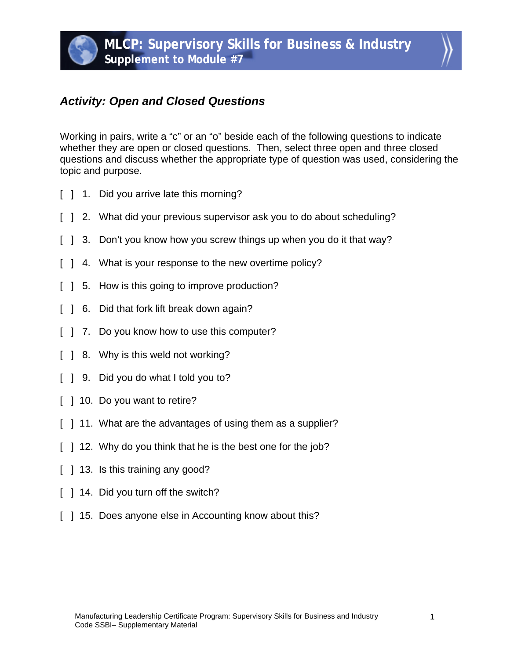## *Activity: Open and Closed Questions*

Working in pairs, write a "c" or an "o" beside each of the following questions to indicate whether they are open or closed questions. Then, select three open and three closed questions and discuss whether the appropriate type of question was used, considering the topic and purpose.

- [ ] 1. Did you arrive late this morning?
- [ ] 2. What did your previous supervisor ask you to do about scheduling?
- [ ] 3. Don't you know how you screw things up when you do it that way?
- [ ] 4. What is your response to the new overtime policy?
- [ ] 5. How is this going to improve production?
- [ ] 6. Did that fork lift break down again?
- [ ] 7. Do you know how to use this computer?
- [ ] 8. Why is this weld not working?
- [ ] 9. Did you do what I told you to?
- [ ] 10. Do you want to retire?
- [  $\vert$  11. What are the advantages of using them as a supplier?
- [ ] 12. Why do you think that he is the best one for the job?
- [ ] 13. Is this training any good?
- [ ] 14. Did you turn off the switch?
- [ ] 15. Does anyone else in Accounting know about this?